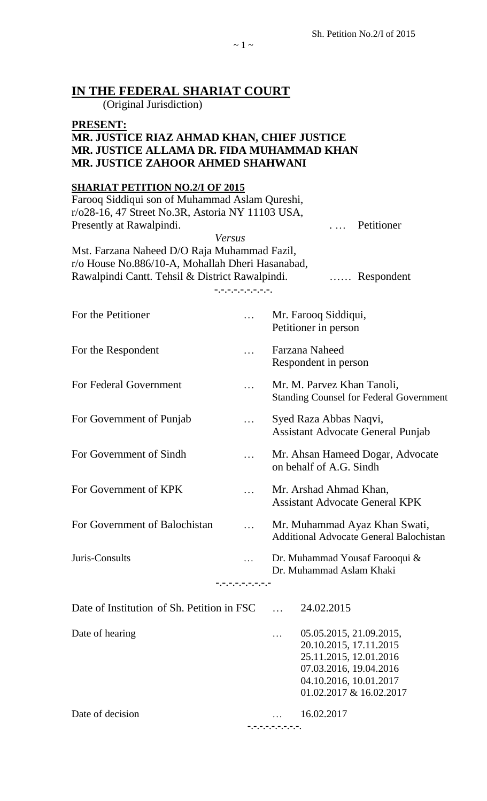| IN THE FEDERAL SHARIAT COURT                                                                                                                                                                                                                                                                                                    |                                                |                                                                                                                                                            |  |  |
|---------------------------------------------------------------------------------------------------------------------------------------------------------------------------------------------------------------------------------------------------------------------------------------------------------------------------------|------------------------------------------------|------------------------------------------------------------------------------------------------------------------------------------------------------------|--|--|
| (Original Jurisdiction)<br><b>PRESENT:</b><br>MR. JUSTICE RIAZ AHMAD KHAN, CHIEF JUSTICE<br>MR. JUSTICE ALLAMA DR. FIDA MUHAMMAD KHAN<br><b>MR. JUSTICE ZAHOOR AHMED SHAHWANI</b>                                                                                                                                               |                                                |                                                                                                                                                            |  |  |
| <b>SHARIAT PETITION NO.2/I OF 2015</b><br>Farooq Siddiqui son of Muhammad Aslam Qureshi,<br>r/o28-16, 47 Street No.3R, Astoria NY 11103 USA,<br>Presently at Rawalpindi.<br>Mst. Farzana Naheed D/O Raja Muhammad Fazil,<br>r/o House No.886/10-A, Mohallah Dheri Hasanabad,<br>Rawalpindi Cantt. Tehsil & District Rawalpindi. | Versus                                         | Petitioner<br>Respondent                                                                                                                                   |  |  |
| For the Petitioner                                                                                                                                                                                                                                                                                                              | - <sub>-</sub> - , - , - , - , - , - , - , - , | Mr. Farooq Siddiqui,<br>Petitioner in person                                                                                                               |  |  |
| For the Respondent                                                                                                                                                                                                                                                                                                              |                                                | Farzana Naheed<br>Respondent in person                                                                                                                     |  |  |
| For Federal Government                                                                                                                                                                                                                                                                                                          |                                                | Mr. M. Parvez Khan Tanoli,<br><b>Standing Counsel for Federal Government</b>                                                                               |  |  |
| For Government of Punjab                                                                                                                                                                                                                                                                                                        |                                                | Syed Raza Abbas Naqvi,<br><b>Assistant Advocate General Punjab</b>                                                                                         |  |  |
| For Government of Sindh                                                                                                                                                                                                                                                                                                         |                                                | Mr. Ahsan Hameed Dogar, Advocate<br>on behalf of A.G. Sindh                                                                                                |  |  |
| For Government of KPK                                                                                                                                                                                                                                                                                                           |                                                | Mr. Arshad Ahmad Khan,<br><b>Assistant Advocate General KPK</b>                                                                                            |  |  |
| For Government of Balochistan                                                                                                                                                                                                                                                                                                   |                                                | Mr. Muhammad Ayaz Khan Swati,<br><b>Additional Advocate General Balochistan</b>                                                                            |  |  |
| Juris-Consults                                                                                                                                                                                                                                                                                                                  | 7. 7. 7. 7. 7. 7. 7. 7. 7. 7                   | Dr. Muhammad Yousaf Farooqui &<br>Dr. Muhammad Aslam Khaki                                                                                                 |  |  |
| Date of Institution of Sh. Petition in FSC                                                                                                                                                                                                                                                                                      |                                                | 24.02.2015                                                                                                                                                 |  |  |
| Date of hearing                                                                                                                                                                                                                                                                                                                 |                                                | 05.05.2015, 21.09.2015,<br>20.10.2015, 17.11.2015<br>25.11.2015, 12.01.2016<br>07.03.2016, 19.04.2016<br>04.10.2016, 10.01.2017<br>01.02.2017 & 16.02.2017 |  |  |
| Date of decision                                                                                                                                                                                                                                                                                                                |                                                | 16.02.2017<br><u> アルフィアルブルアルブルアルブル</u>                                                                                                                     |  |  |

 $\sim$  1  $\sim$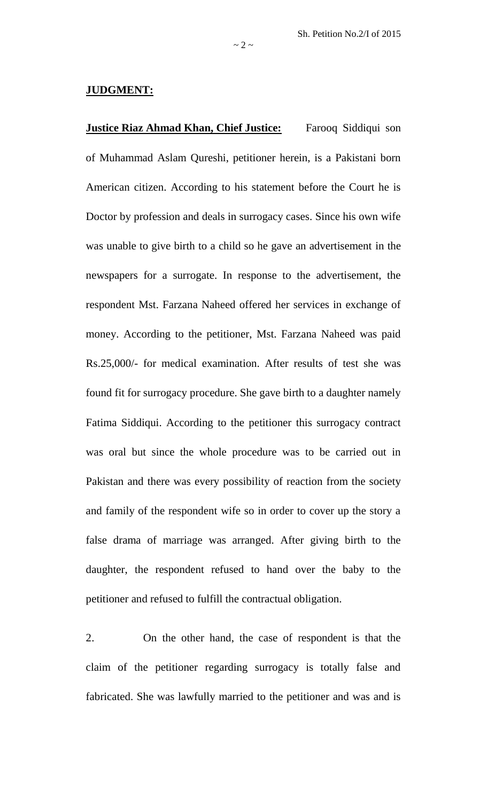## **JUDGMENT:**

**Justice Riaz Ahmad Khan, Chief Justice:** Farooq Siddiqui son of Muhammad Aslam Qureshi, petitioner herein, is a Pakistani born American citizen. According to his statement before the Court he is Doctor by profession and deals in surrogacy cases. Since his own wife was unable to give birth to a child so he gave an advertisement in the newspapers for a surrogate. In response to the advertisement, the respondent Mst. Farzana Naheed offered her services in exchange of money. According to the petitioner, Mst. Farzana Naheed was paid Rs.25,000/- for medical examination. After results of test she was found fit for surrogacy procedure. She gave birth to a daughter namely Fatima Siddiqui. According to the petitioner this surrogacy contract was oral but since the whole procedure was to be carried out in Pakistan and there was every possibility of reaction from the society and family of the respondent wife so in order to cover up the story a false drama of marriage was arranged. After giving birth to the daughter, the respondent refused to hand over the baby to the petitioner and refused to fulfill the contractual obligation.

2. On the other hand, the case of respondent is that the claim of the petitioner regarding surrogacy is totally false and fabricated. She was lawfully married to the petitioner and was and is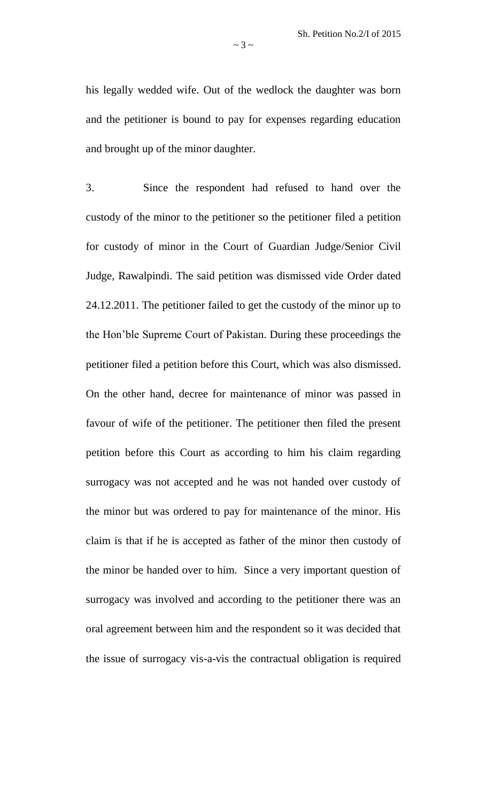his legally wedded wife. Out of the wedlock the daughter was born and the petitioner is bound to pay for expenses regarding education and brought up of the minor daughter.

3. Since the respondent had refused to hand over the custody of the minor to the petitioner so the petitioner filed a petition for custody of minor in the Court of Guardian Judge/Senior Civil Judge, Rawalpindi. The said petition was dismissed vide Order dated 24.12.2011. The petitioner failed to get the custody of the minor up to the Hon'ble Supreme Court of Pakistan. During these proceedings the petitioner filed a petition before this Court, which was also dismissed. On the other hand, decree for maintenance of minor was passed in favour of wife of the petitioner. The petitioner then filed the present petition before this Court as according to him his claim regarding surrogacy was not accepted and he was not handed over custody of the minor but was ordered to pay for maintenance of the minor. His claim is that if he is accepted as father of the minor then custody of the minor be handed over to him. Since a very important question of surrogacy was involved and according to the petitioner there was an oral agreement between him and the respondent so it was decided that the issue of surrogacy vis-a-vis the contractual obligation is required

 $\sim$  3  $\sim$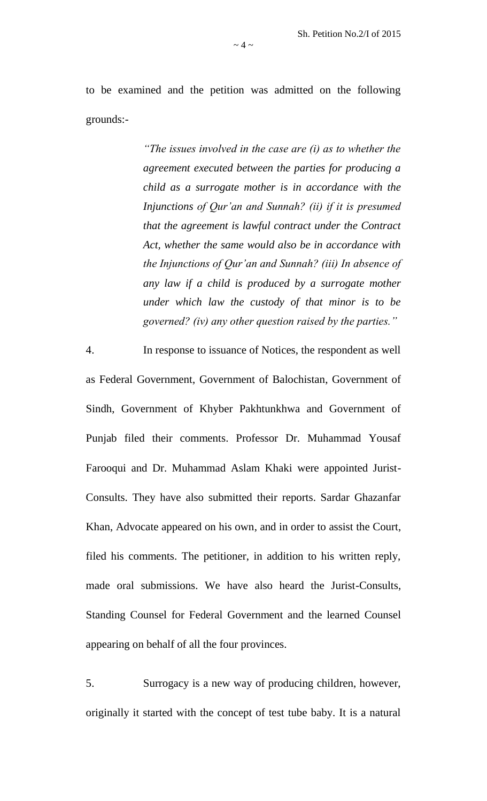to be examined and the petition was admitted on the following grounds:-

> *"The issues involved in the case are (i) as to whether the agreement executed between the parties for producing a child as a surrogate mother is in accordance with the Injunctions of Qur'an and Sunnah? (ii) if it is presumed that the agreement is lawful contract under the Contract Act, whether the same would also be in accordance with the Injunctions of Qur'an and Sunnah? (iii) In absence of any law if a child is produced by a surrogate mother under which law the custody of that minor is to be governed? (iv) any other question raised by the parties."*

4. In response to issuance of Notices, the respondent as well as Federal Government, Government of Balochistan, Government of Sindh, Government of Khyber Pakhtunkhwa and Government of Punjab filed their comments. Professor Dr. Muhammad Yousaf Farooqui and Dr. Muhammad Aslam Khaki were appointed Jurist-Consults. They have also submitted their reports. Sardar Ghazanfar Khan, Advocate appeared on his own, and in order to assist the Court, filed his comments. The petitioner, in addition to his written reply, made oral submissions. We have also heard the Jurist-Consults, Standing Counsel for Federal Government and the learned Counsel appearing on behalf of all the four provinces.

5. Surrogacy is a new way of producing children, however, originally it started with the concept of test tube baby. It is a natural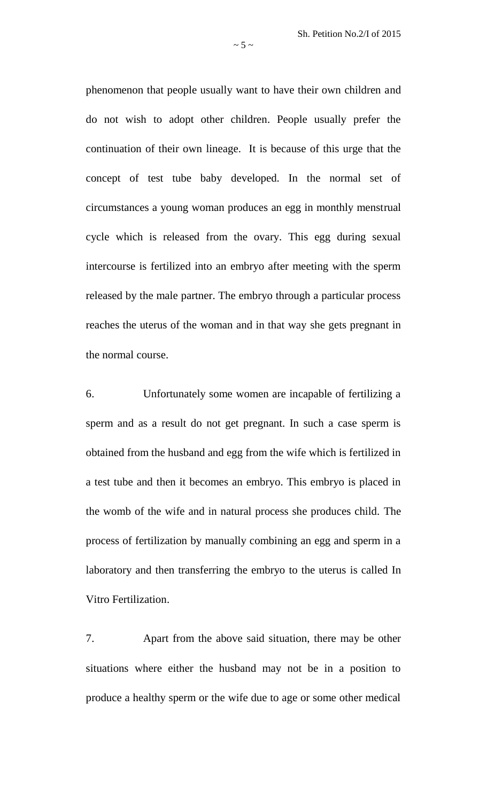phenomenon that people usually want to have their own children and do not wish to adopt other children. People usually prefer the continuation of their own lineage. It is because of this urge that the concept of test tube baby developed. In the normal set of circumstances a young woman produces an egg in monthly menstrual cycle which is released from the ovary. This egg during sexual intercourse is fertilized into an embryo after meeting with the sperm released by the male partner. The embryo through a particular process reaches the uterus of the woman and in that way she gets pregnant in the normal course.

6. Unfortunately some women are incapable of fertilizing a sperm and as a result do not get pregnant. In such a case sperm is obtained from the husband and egg from the wife which is fertilized in a test tube and then it becomes an embryo. This embryo is placed in the womb of the wife and in natural process she produces child. The process of fertilization by manually combining an egg and sperm in a laboratory and then transferring the embryo to the uterus is called In Vitro Fertilization.

7. Apart from the above said situation, there may be other situations where either the husband may not be in a position to produce a healthy sperm or the wife due to age or some other medical

 $\sim$  5  $\sim$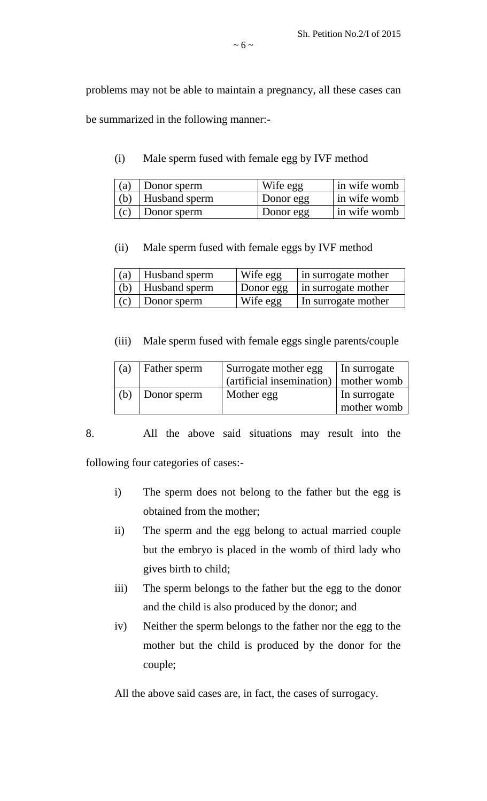problems may not be able to maintain a pregnancy, all these cases can be summarized in the following manner:-

(i) Male sperm fused with female egg by IVF method

| (a) | Donor sperm         | Wife egg  | $\sin$ wife womb |
|-----|---------------------|-----------|------------------|
|     | (b)   Husband sperm | Donor egg | $\sin$ wife womb |
| (c) | Donor sperm         | Donor egg | in wife womb     |

(ii) Male sperm fused with female eggs by IVF method

|     | $(a)$ Husband sperm | Wife egg  | in surrogate mother |
|-----|---------------------|-----------|---------------------|
|     | $(b)$ Husband sperm | Donor egg | in surrogate mother |
| (c) | Donor sperm         | Wife egg  | In surrogate mother |

(iii) Male sperm fused with female eggs single parents/couple

| (a) | Father sperm | Surrogate mother egg                    | In surrogate |
|-----|--------------|-----------------------------------------|--------------|
|     |              | (artificial insemination)   mother womb |              |
| (b) | Donor sperm  | Mother egg                              | In surrogate |
|     |              |                                         | mother womb  |

8. All the above said situations may result into the

following four categories of cases:-

- i) The sperm does not belong to the father but the egg is obtained from the mother;
- ii) The sperm and the egg belong to actual married couple but the embryo is placed in the womb of third lady who gives birth to child;
- iii) The sperm belongs to the father but the egg to the donor and the child is also produced by the donor; and
- iv) Neither the sperm belongs to the father nor the egg to the mother but the child is produced by the donor for the couple;

All the above said cases are, in fact, the cases of surrogacy.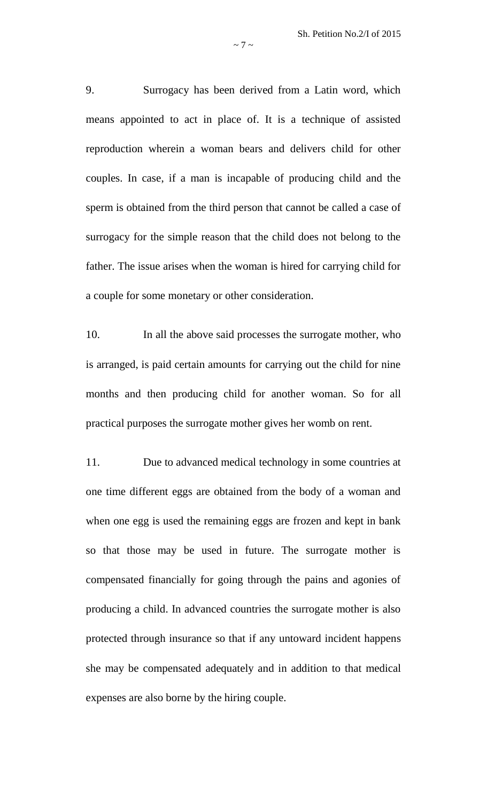9. Surrogacy has been derived from a Latin word, which means appointed to act in place of. It is a technique of assisted reproduction wherein a woman bears and delivers child for other couples. In case, if a man is incapable of producing child and the sperm is obtained from the third person that cannot be called a case of surrogacy for the simple reason that the child does not belong to the father. The issue arises when the woman is hired for carrying child for a couple for some monetary or other consideration.

10. In all the above said processes the surrogate mother, who is arranged, is paid certain amounts for carrying out the child for nine months and then producing child for another woman. So for all practical purposes the surrogate mother gives her womb on rent.

11. Due to advanced medical technology in some countries at one time different eggs are obtained from the body of a woman and when one egg is used the remaining eggs are frozen and kept in bank so that those may be used in future. The surrogate mother is compensated financially for going through the pains and agonies of producing a child. In advanced countries the surrogate mother is also protected through insurance so that if any untoward incident happens she may be compensated adequately and in addition to that medical expenses are also borne by the hiring couple.

 $\sim$  7  $\sim$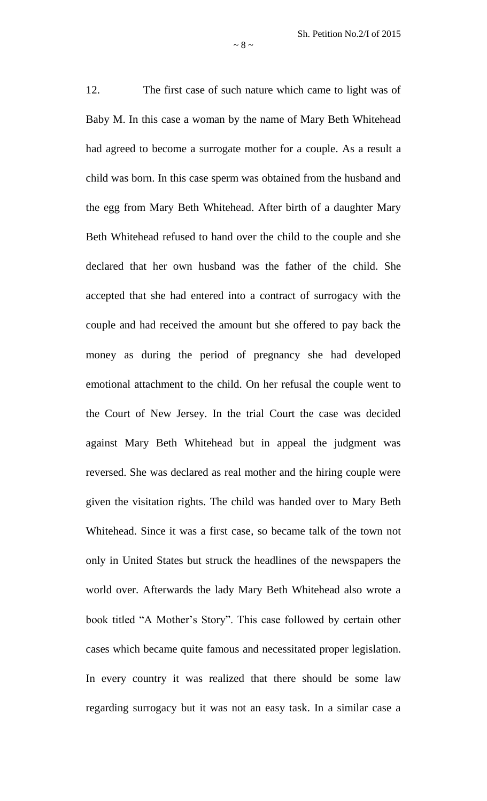12. The first case of such nature which came to light was of Baby M. In this case a woman by the name of Mary Beth Whitehead had agreed to become a surrogate mother for a couple. As a result a child was born. In this case sperm was obtained from the husband and the egg from Mary Beth Whitehead. After birth of a daughter Mary Beth Whitehead refused to hand over the child to the couple and she declared that her own husband was the father of the child. She accepted that she had entered into a contract of surrogacy with the couple and had received the amount but she offered to pay back the money as during the period of pregnancy she had developed emotional attachment to the child. On her refusal the couple went to the Court of New Jersey. In the trial Court the case was decided against Mary Beth Whitehead but in appeal the judgment was reversed. She was declared as real mother and the hiring couple were given the visitation rights. The child was handed over to Mary Beth Whitehead. Since it was a first case, so became talk of the town not only in United States but struck the headlines of the newspapers the world over. Afterwards the lady Mary Beth Whitehead also wrote a book titled "A Mother's Story". This case followed by certain other cases which became quite famous and necessitated proper legislation. In every country it was realized that there should be some law regarding surrogacy but it was not an easy task. In a similar case a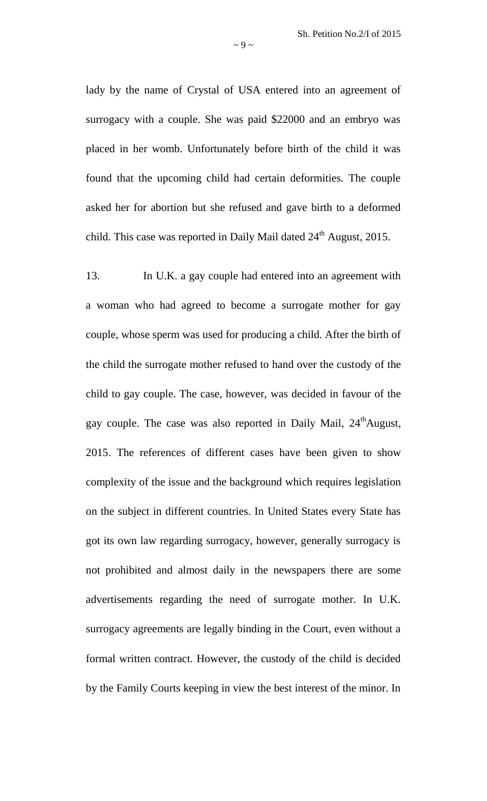lady by the name of Crystal of USA entered into an agreement of surrogacy with a couple. She was paid \$22000 and an embryo was placed in her womb. Unfortunately before birth of the child it was found that the upcoming child had certain deformities. The couple asked her for abortion but she refused and gave birth to a deformed child. This case was reported in Daily Mail dated  $24<sup>th</sup>$  August, 2015.

13. In U.K. a gay couple had entered into an agreement with a woman who had agreed to become a surrogate mother for gay couple, whose sperm was used for producing a child. After the birth of the child the surrogate mother refused to hand over the custody of the child to gay couple. The case, however, was decided in favour of the gay couple. The case was also reported in Daily Mail, 24<sup>th</sup>August, 2015. The references of different cases have been given to show complexity of the issue and the background which requires legislation on the subject in different countries. In United States every State has got its own law regarding surrogacy, however, generally surrogacy is not prohibited and almost daily in the newspapers there are some advertisements regarding the need of surrogate mother. In U.K. surrogacy agreements are legally binding in the Court, even without a formal written contract. However, the custody of the child is decided by the Family Courts keeping in view the best interest of the minor. In

 $\sim$  9  $\sim$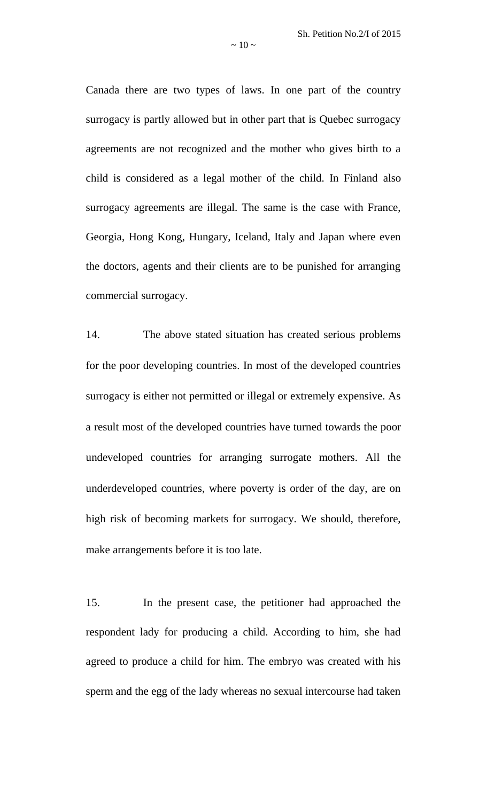Canada there are two types of laws. In one part of the country surrogacy is partly allowed but in other part that is Quebec surrogacy agreements are not recognized and the mother who gives birth to a child is considered as a legal mother of the child. In Finland also surrogacy agreements are illegal. The same is the case with France, Georgia, Hong Kong, Hungary, Iceland, Italy and Japan where even the doctors, agents and their clients are to be punished for arranging commercial surrogacy.

14. The above stated situation has created serious problems for the poor developing countries. In most of the developed countries surrogacy is either not permitted or illegal or extremely expensive. As a result most of the developed countries have turned towards the poor undeveloped countries for arranging surrogate mothers. All the underdeveloped countries, where poverty is order of the day, are on high risk of becoming markets for surrogacy. We should, therefore, make arrangements before it is too late.

15. In the present case, the petitioner had approached the respondent lady for producing a child. According to him, she had agreed to produce a child for him. The embryo was created with his sperm and the egg of the lady whereas no sexual intercourse had taken

 $\sim$  10  $\sim$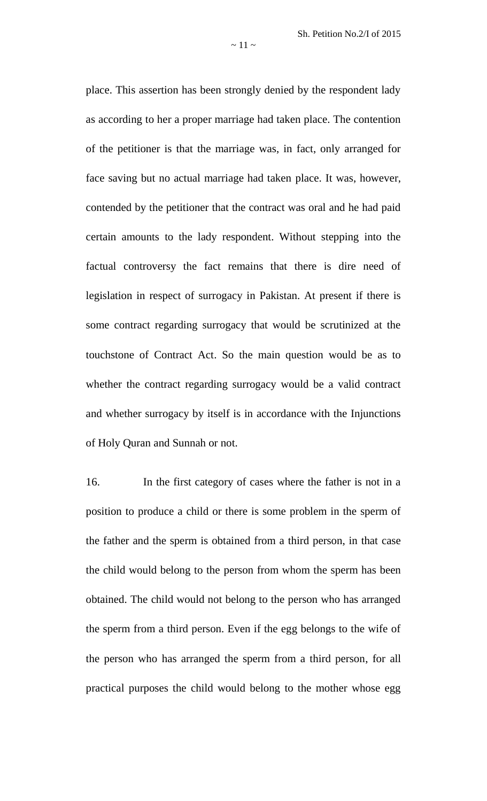place. This assertion has been strongly denied by the respondent lady as according to her a proper marriage had taken place. The contention of the petitioner is that the marriage was, in fact, only arranged for face saving but no actual marriage had taken place. It was, however, contended by the petitioner that the contract was oral and he had paid certain amounts to the lady respondent. Without stepping into the factual controversy the fact remains that there is dire need of legislation in respect of surrogacy in Pakistan. At present if there is some contract regarding surrogacy that would be scrutinized at the touchstone of Contract Act. So the main question would be as to whether the contract regarding surrogacy would be a valid contract and whether surrogacy by itself is in accordance with the Injunctions of Holy Quran and Sunnah or not.

16. In the first category of cases where the father is not in a position to produce a child or there is some problem in the sperm of the father and the sperm is obtained from a third person, in that case the child would belong to the person from whom the sperm has been obtained. The child would not belong to the person who has arranged the sperm from a third person. Even if the egg belongs to the wife of the person who has arranged the sperm from a third person, for all practical purposes the child would belong to the mother whose egg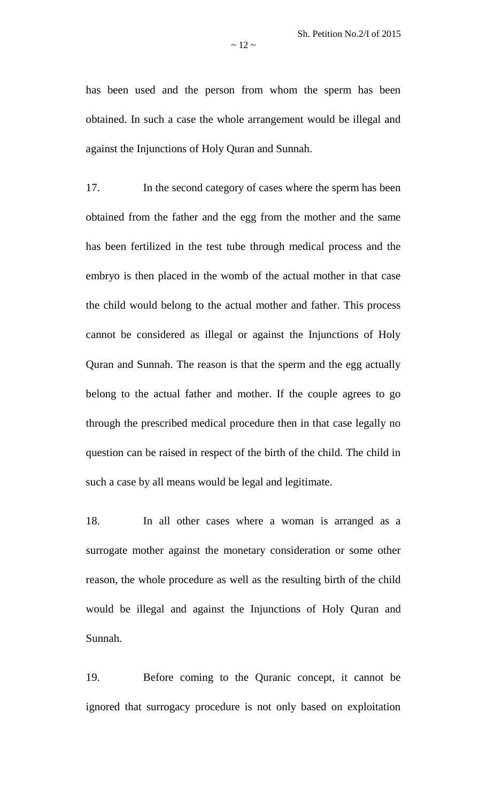has been used and the person from whom the sperm has been obtained. In such a case the whole arrangement would be illegal and against the Injunctions of Holy Quran and Sunnah.

17. In the second category of cases where the sperm has been obtained from the father and the egg from the mother and the same has been fertilized in the test tube through medical process and the embryo is then placed in the womb of the actual mother in that case the child would belong to the actual mother and father. This process cannot be considered as illegal or against the Injunctions of Holy Quran and Sunnah. The reason is that the sperm and the egg actually belong to the actual father and mother. If the couple agrees to go through the prescribed medical procedure then in that case legally no question can be raised in respect of the birth of the child. The child in such a case by all means would be legal and legitimate.

18. In all other cases where a woman is arranged as a surrogate mother against the monetary consideration or some other reason, the whole procedure as well as the resulting birth of the child would be illegal and against the Injunctions of Holy Quran and Sunnah.

19. Before coming to the Quranic concept, it cannot be ignored that surrogacy procedure is not only based on exploitation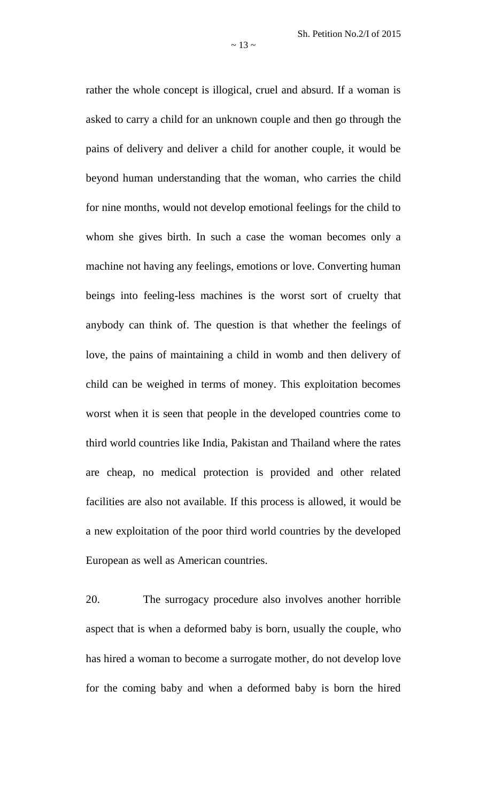rather the whole concept is illogical, cruel and absurd. If a woman is asked to carry a child for an unknown couple and then go through the pains of delivery and deliver a child for another couple, it would be beyond human understanding that the woman, who carries the child for nine months, would not develop emotional feelings for the child to whom she gives birth. In such a case the woman becomes only a machine not having any feelings, emotions or love. Converting human beings into feeling-less machines is the worst sort of cruelty that anybody can think of. The question is that whether the feelings of love, the pains of maintaining a child in womb and then delivery of child can be weighed in terms of money. This exploitation becomes worst when it is seen that people in the developed countries come to third world countries like India, Pakistan and Thailand where the rates are cheap, no medical protection is provided and other related facilities are also not available. If this process is allowed, it would be a new exploitation of the poor third world countries by the developed European as well as American countries.

20. The surrogacy procedure also involves another horrible aspect that is when a deformed baby is born, usually the couple, who has hired a woman to become a surrogate mother, do not develop love for the coming baby and when a deformed baby is born the hired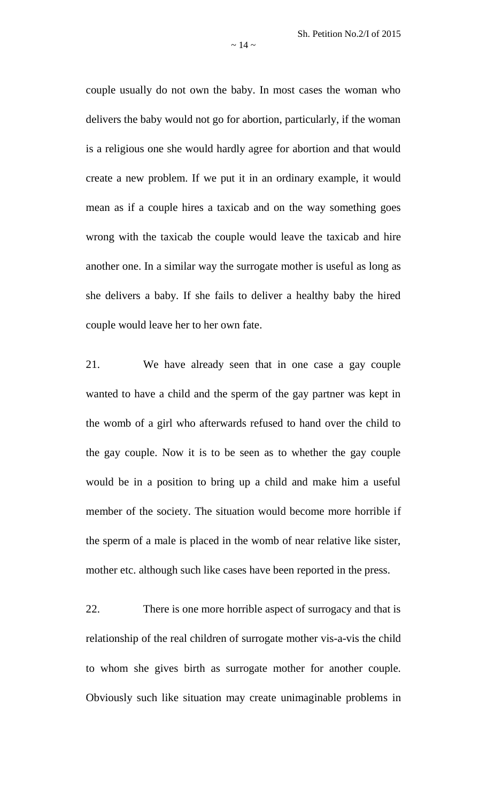couple usually do not own the baby. In most cases the woman who delivers the baby would not go for abortion, particularly, if the woman is a religious one she would hardly agree for abortion and that would create a new problem. If we put it in an ordinary example, it would mean as if a couple hires a taxicab and on the way something goes wrong with the taxicab the couple would leave the taxicab and hire another one. In a similar way the surrogate mother is useful as long as she delivers a baby. If she fails to deliver a healthy baby the hired couple would leave her to her own fate.

21. We have already seen that in one case a gay couple wanted to have a child and the sperm of the gay partner was kept in the womb of a girl who afterwards refused to hand over the child to the gay couple. Now it is to be seen as to whether the gay couple would be in a position to bring up a child and make him a useful member of the society. The situation would become more horrible if the sperm of a male is placed in the womb of near relative like sister, mother etc. although such like cases have been reported in the press.

22. There is one more horrible aspect of surrogacy and that is relationship of the real children of surrogate mother vis-a-vis the child to whom she gives birth as surrogate mother for another couple. Obviously such like situation may create unimaginable problems in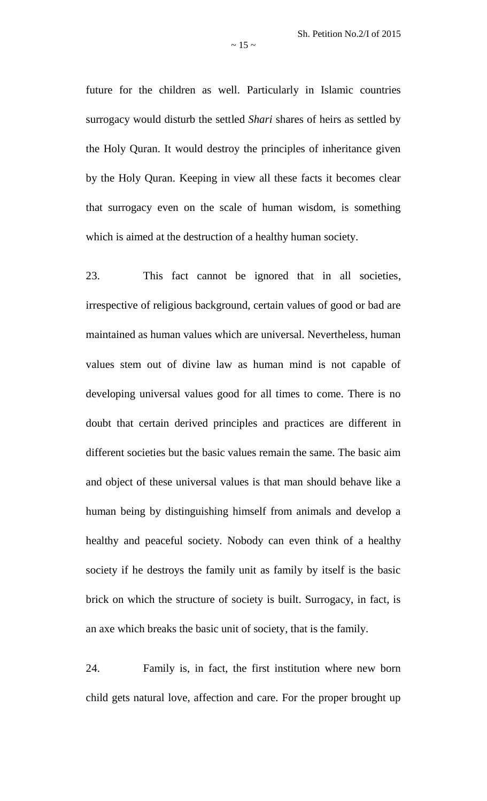future for the children as well. Particularly in Islamic countries surrogacy would disturb the settled *Shari* shares of heirs as settled by the Holy Quran. It would destroy the principles of inheritance given by the Holy Quran. Keeping in view all these facts it becomes clear that surrogacy even on the scale of human wisdom, is something which is aimed at the destruction of a healthy human society.

23. This fact cannot be ignored that in all societies, irrespective of religious background, certain values of good or bad are maintained as human values which are universal. Nevertheless, human values stem out of divine law as human mind is not capable of developing universal values good for all times to come. There is no doubt that certain derived principles and practices are different in different societies but the basic values remain the same. The basic aim and object of these universal values is that man should behave like a human being by distinguishing himself from animals and develop a healthy and peaceful society. Nobody can even think of a healthy society if he destroys the family unit as family by itself is the basic brick on which the structure of society is built. Surrogacy, in fact, is an axe which breaks the basic unit of society, that is the family.

24. Family is, in fact, the first institution where new born child gets natural love, affection and care. For the proper brought up

 $\sim$  15  $\sim$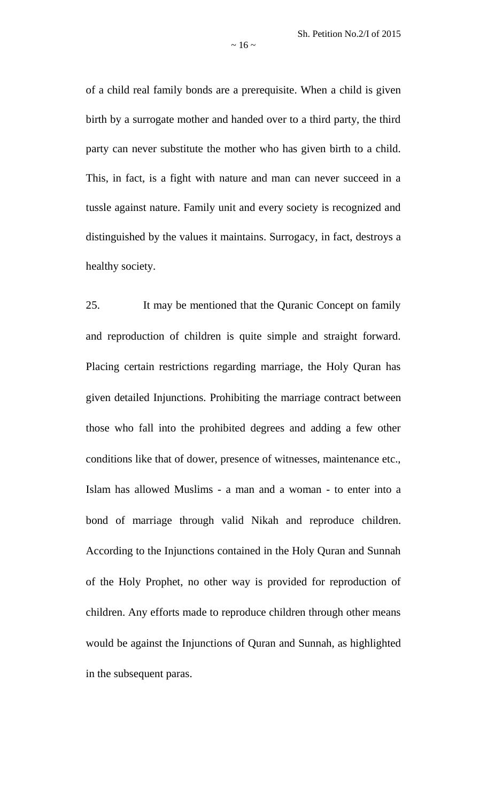of a child real family bonds are a prerequisite. When a child is given birth by a surrogate mother and handed over to a third party, the third party can never substitute the mother who has given birth to a child. This, in fact, is a fight with nature and man can never succeed in a tussle against nature. Family unit and every society is recognized and distinguished by the values it maintains. Surrogacy, in fact, destroys a healthy society.

25. It may be mentioned that the Quranic Concept on family and reproduction of children is quite simple and straight forward. Placing certain restrictions regarding marriage, the Holy Quran has given detailed Injunctions. Prohibiting the marriage contract between those who fall into the prohibited degrees and adding a few other conditions like that of dower, presence of witnesses, maintenance etc., Islam has allowed Muslims - a man and a woman - to enter into a bond of marriage through valid Nikah and reproduce children. According to the Injunctions contained in the Holy Quran and Sunnah of the Holy Prophet, no other way is provided for reproduction of children. Any efforts made to reproduce children through other means would be against the Injunctions of Quran and Sunnah, as highlighted in the subsequent paras.

 $\sim$  16  $\sim$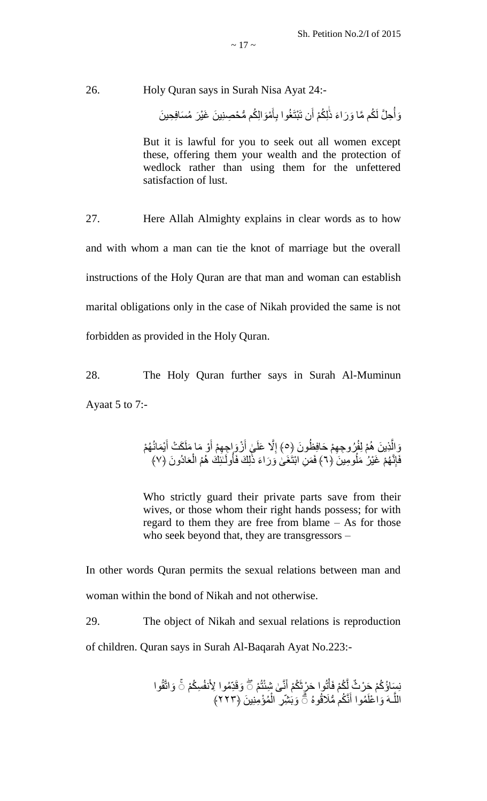26. Holy Quran says in Surah Nisa Ayat 24:-

وَأُحِلَّ لَكُم مَّا وَرَاءَ ذَٰلِكُمْ أَن تَبْتَغُوا بِأَمْوَالِكُم مُّحْصِنِينَ غَيْرَ مُسَافِحِينَ َ ِأ <u>֝֝</u> ر<br>أ

But it is lawful for you to seek out all women except these, offering them your wealth and the protection of wedlock rather than using them for the unfettered satisfaction of lust.

27. Here Allah Almighty explains in clear words as to how and with whom a man can tie the knot of marriage but the overall instructions of the Holy Quran are that man and woman can establish marital obligations only in the case of Nikah provided the same is not forbidden as provided in the Holy Quran.

28. The Holy Quran further says in Surah Al-Muminun Ayaat 5 to 7:-

> وَالَّذِينَ هُمْ لِفُرُوجِهِمْ حَافِظُونَ ﴿٥﴾ إِلَّا عَلَىٰ أَزْوَإِجِهِمْ أَوْ مَا مَلَكَتْ أَيْمَانُهُمْ َّ ِ َٰ َ َ َ فَإِنَّهُمْ غَيْرُ مَلُومِينَ (٦) فَمَنِ ابْنَغَىٰ وَرَاءَ ذَٰلِكَ فَأُولَـٰلَٰئِكَ هُمُ الْعَادُونَ (٧) اُ ا َٰ اُ

> Who strictly guard their private parts save from their wives, or those whom their right hands possess; for with regard to them they are free from blame – As for those who seek beyond that, they are transgressors –

In other words Quran permits the sexual relations between man and woman within the bond of Nikah and not otherwise.

29. The object of Nikah and sexual relations is reproduction of children. Quran says in Surah Al-Baqarah Ayat No.223:-

> نِسَاؤُكُمْ حَرْثٌ لَّكُمْ فَأْتُوا حَرْثَكُمْ أَنَّىٰ شِئْتُمْ ۚ وَقَدِّمُوا لِأَنفُسِكُمْ ۚ وَاتَّقُوا َّ ْ َ اللَّـهَ وَاعْلَمُوا أَنَّكُمْ مُّلَاقُوهُ ۞ وَبَشِّرِ الْمُؤْمِنِينَ ﴿٢٢٣﴾ َّ َ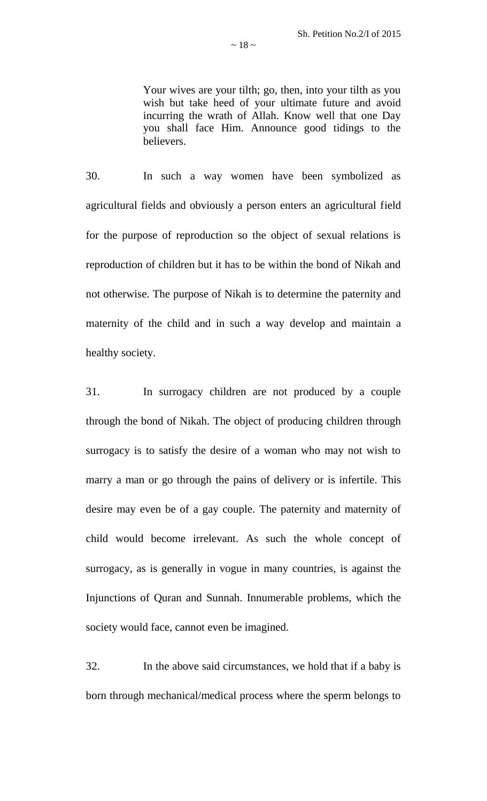Your wives are your tilth; go, then, into your tilth as you wish but take heed of your ultimate future and avoid incurring the wrath of Allah. Know well that one Day you shall face Him. Announce good tidings to the believers.

30. In such a way women have been symbolized as agricultural fields and obviously a person enters an agricultural field for the purpose of reproduction so the object of sexual relations is reproduction of children but it has to be within the bond of Nikah and not otherwise. The purpose of Nikah is to determine the paternity and maternity of the child and in such a way develop and maintain a healthy society.

31. In surrogacy children are not produced by a couple through the bond of Nikah. The object of producing children through surrogacy is to satisfy the desire of a woman who may not wish to marry a man or go through the pains of delivery or is infertile. This desire may even be of a gay couple. The paternity and maternity of child would become irrelevant. As such the whole concept of surrogacy, as is generally in vogue in many countries, is against the Injunctions of Quran and Sunnah. Innumerable problems, which the society would face, cannot even be imagined.

32. In the above said circumstances, we hold that if a baby is born through mechanical/medical process where the sperm belongs to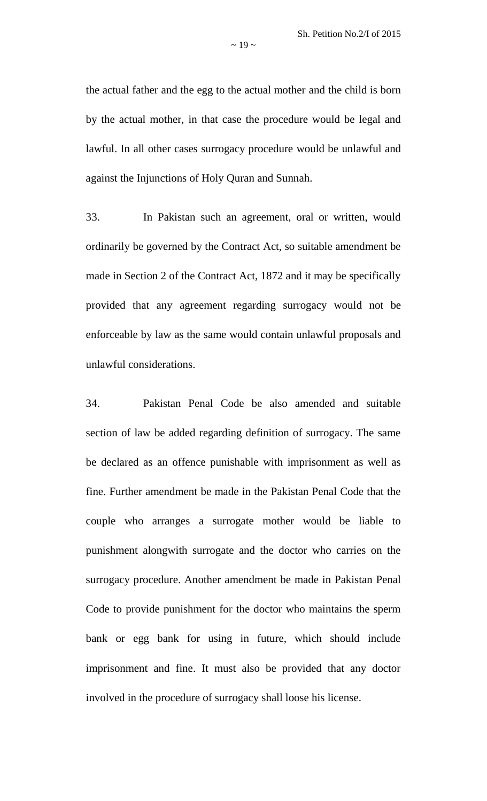the actual father and the egg to the actual mother and the child is born by the actual mother, in that case the procedure would be legal and lawful. In all other cases surrogacy procedure would be unlawful and against the Injunctions of Holy Quran and Sunnah.

33. In Pakistan such an agreement, oral or written, would ordinarily be governed by the Contract Act, so suitable amendment be made in Section 2 of the Contract Act, 1872 and it may be specifically provided that any agreement regarding surrogacy would not be enforceable by law as the same would contain unlawful proposals and unlawful considerations.

34. Pakistan Penal Code be also amended and suitable section of law be added regarding definition of surrogacy. The same be declared as an offence punishable with imprisonment as well as fine. Further amendment be made in the Pakistan Penal Code that the couple who arranges a surrogate mother would be liable to punishment alongwith surrogate and the doctor who carries on the surrogacy procedure. Another amendment be made in Pakistan Penal Code to provide punishment for the doctor who maintains the sperm bank or egg bank for using in future, which should include imprisonment and fine. It must also be provided that any doctor involved in the procedure of surrogacy shall loose his license.

 $\sim$  19  $\sim$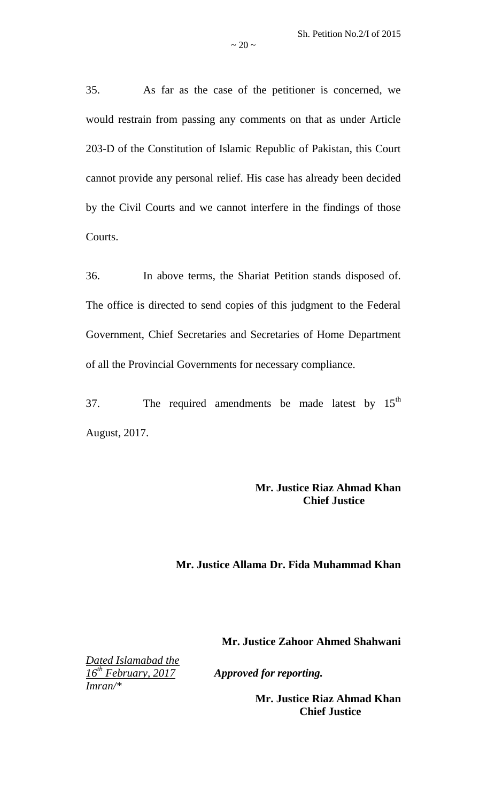35. As far as the case of the petitioner is concerned, we would restrain from passing any comments on that as under Article 203-D of the Constitution of Islamic Republic of Pakistan, this Court cannot provide any personal relief. His case has already been decided by the Civil Courts and we cannot interfere in the findings of those Courts.

 $\sim$  20  $\sim$ 

36. In above terms, the Shariat Petition stands disposed of. The office is directed to send copies of this judgment to the Federal Government, Chief Secretaries and Secretaries of Home Department of all the Provincial Governments for necessary compliance.

37. The required amendments be made latest by  $15<sup>th</sup>$ August, 2017.

## **Mr. Justice Riaz Ahmad Khan Chief Justice**

## **Mr. Justice Allama Dr. Fida Muhammad Khan**

**Mr. Justice Zahoor Ahmed Shahwani**

*Dated Islamabad the 16th February, 2017 Approved for reporting. Imran/\**

**Mr. Justice Riaz Ahmad Khan Chief Justice**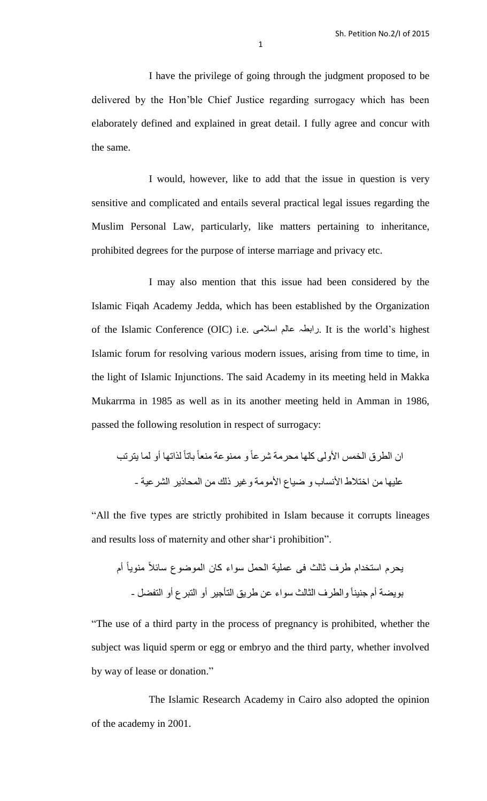I have the privilege of going through the judgment proposed to be delivered by the Hon"ble Chief Justice regarding surrogacy which has been elaborately defined and explained in great detail. I fully agree and concur with the same.

I would, however, like to add that the issue in question is very sensitive and complicated and entails several practical legal issues regarding the Muslim Personal Law, particularly, like matters pertaining to inheritance, prohibited degrees for the purpose of interse marriage and privacy etc.

I may also mention that this issue had been considered by the Islamic Fiqah Academy Jedda, which has been established by the Organization of the Islamic Conference (OIC) i.e. اسالهی عالن زاتطہ. It is the world"s highest Islamic forum for resolving various modern issues, arising from time to time, in the light of Islamic Injunctions. The said Academy in its meeting held in Makka Mukarrma in 1985 as well as in its another meeting held in Amman in 1986, passed the following resolution in respect of surrogacy:

لراتها أو لوا يتستة تاتاً اى الطسق الخوس األولً كلها هحسهح شسعاً و هوٌىعح هٌعاً عليها هي اختالط األًساب و ضياع األهىهح وغيس ذلك هي الوحاذيس الشسعيح -

"All the five types are strictly prohibited in Islam because it corrupts lineages and results loss of maternity and other shar"i prohibition".

عوليح الحول سىاء كاى الوىضىع سائالً هٌىياً يحسم استخدام طسف ثالث فً أم جٌيٌا - ً تىيضح أم والطسف الثالث سىاء عي طسيك التأجيس أو التثسع أو التفضل

"The use of a third party in the process of pregnancy is prohibited, whether the subject was liquid sperm or egg or embryo and the third party, whether involved by way of lease or donation."

The Islamic Research Academy in Cairo also adopted the opinion of the academy in 2001.

1